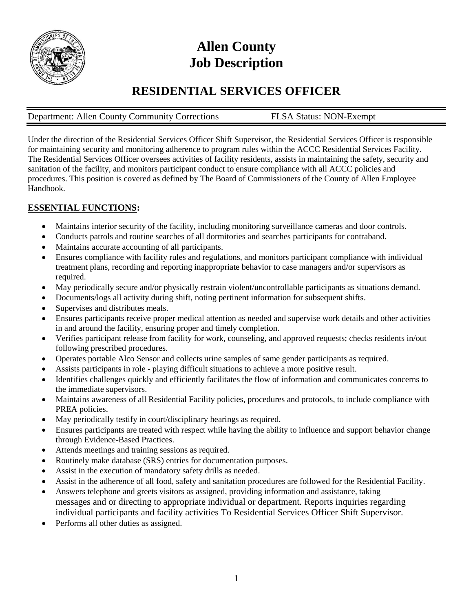

# **Allen County Job Description**

# **RESIDENTIAL SERVICES OFFICER**

# Department: Allen County Community Corrections FLSA Status: NON-Exempt

Under the direction of the Residential Services Officer Shift Supervisor, the Residential Services Officer is responsible for maintaining security and monitoring adherence to program rules within the ACCC Residential Services Facility. The Residential Services Officer oversees activities of facility residents, assists in maintaining the safety, security and sanitation of the facility, and monitors participant conduct to ensure compliance with all ACCC policies and procedures. This position is covered as defined by The Board of Commissioners of the County of Allen Employee Handbook.

# **ESSENTIAL FUNCTIONS:**

- Maintains interior security of the facility, including monitoring surveillance cameras and door controls.
- Conducts patrols and routine searches of all dormitories and searches participants for contraband.
- Maintains accurate accounting of all participants.
- Ensures compliance with facility rules and regulations, and monitors participant compliance with individual treatment plans, recording and reporting inappropriate behavior to case managers and/or supervisors as required.
- May periodically secure and/or physically restrain violent/uncontrollable participants as situations demand.
- Documents/logs all activity during shift, noting pertinent information for subsequent shifts.
- Supervises and distributes meals.
- Ensures participants receive proper medical attention as needed and supervise work details and other activities in and around the facility, ensuring proper and timely completion.
- Verifies participant release from facility for work, counseling, and approved requests; checks residents in/out following prescribed procedures.
- Operates portable Alco Sensor and collects urine samples of same gender participants as required.
- Assists participants in role playing difficult situations to achieve a more positive result.
- Identifies challenges quickly and efficiently facilitates the flow of information and communicates concerns to the immediate supervisors.
- Maintains awareness of all Residential Facility policies, procedures and protocols, to include compliance with PREA policies.
- May periodically testify in court/disciplinary hearings as required.
- Ensures participants are treated with respect while having the ability to influence and support behavior change through Evidence-Based Practices.
- Attends meetings and training sessions as required.
- Routinely make database (SRS) entries for documentation purposes.
- Assist in the execution of mandatory safety drills as needed.
- Assist in the adherence of all food, safety and sanitation procedures are followed for the Residential Facility.
- Answers telephone and greets visitors as assigned, providing information and assistance, taking messages and or directing to appropriate individual or department. Reports inquiries regarding individual participants and facility activities To Residential Services Officer Shift Supervisor.
- Performs all other duties as assigned.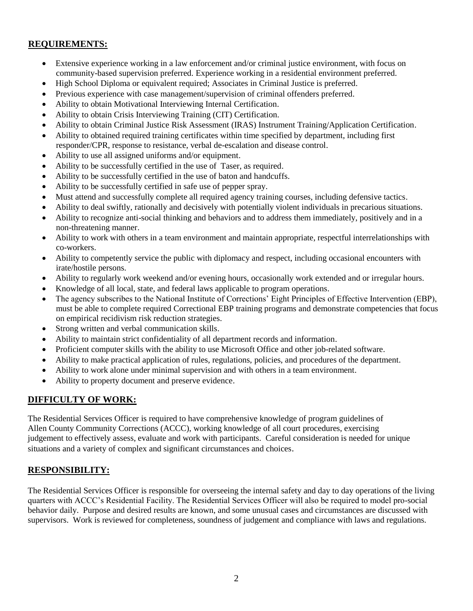#### **REQUIREMENTS:**

- Extensive experience working in a law enforcement and/or criminal justice environment, with focus on community-based supervision preferred. Experience working in a residential environment preferred.
- High School Diploma or equivalent required; Associates in Criminal Justice is preferred.
- Previous experience with case management/supervision of criminal offenders preferred.
- Ability to obtain Motivational Interviewing Internal Certification.
- Ability to obtain Crisis Interviewing Training (CIT) Certification.
- Ability to obtain Criminal Justice Risk Assessment (IRAS) Instrument Training/Application Certification.
- Ability to obtained required training certificates within time specified by department, including first responder/CPR, response to resistance, verbal de-escalation and disease control.
- Ability to use all assigned uniforms and/or equipment.
- Ability to be successfully certified in the use of Taser, as required.
- Ability to be successfully certified in the use of baton and handcuffs.
- Ability to be successfully certified in safe use of pepper spray.
- Must attend and successfully complete all required agency training courses, including defensive tactics.
- Ability to deal swiftly, rationally and decisively with potentially violent individuals in precarious situations.
- Ability to recognize anti-social thinking and behaviors and to address them immediately, positively and in a non-threatening manner.
- Ability to work with others in a team environment and maintain appropriate, respectful interrelationships with co-workers.
- Ability to competently service the public with diplomacy and respect, including occasional encounters with irate/hostile persons.
- Ability to regularly work weekend and/or evening hours, occasionally work extended and or irregular hours.
- Knowledge of all local, state, and federal laws applicable to program operations.
- The agency subscribes to the National Institute of Corrections' Eight Principles of Effective Intervention (EBP), must be able to complete required Correctional EBP training programs and demonstrate competencies that focus on empirical recidivism risk reduction strategies.
- Strong written and verbal communication skills.
- Ability to maintain strict confidentiality of all department records and information.
- Proficient computer skills with the ability to use Microsoft Office and other job-related software.
- Ability to make practical application of rules, regulations, policies, and procedures of the department.
- Ability to work alone under minimal supervision and with others in a team environment.
- Ability to property document and preserve evidence.

#### **DIFFICULTY OF WORK:**

The Residential Services Officer is required to have comprehensive knowledge of program guidelines of Allen County Community Corrections (ACCC), working knowledge of all court procedures, exercising judgement to effectively assess, evaluate and work with participants. Careful consideration is needed for unique situations and a variety of complex and significant circumstances and choices.

### **RESPONSIBILITY:**

The Residential Services Officer is responsible for overseeing the internal safety and day to day operations of the living quarters with ACCC's Residential Facility. The Residential Services Officer will also be required to model pro-social behavior daily. Purpose and desired results are known, and some unusual cases and circumstances are discussed with supervisors. Work is reviewed for completeness, soundness of judgement and compliance with laws and regulations.